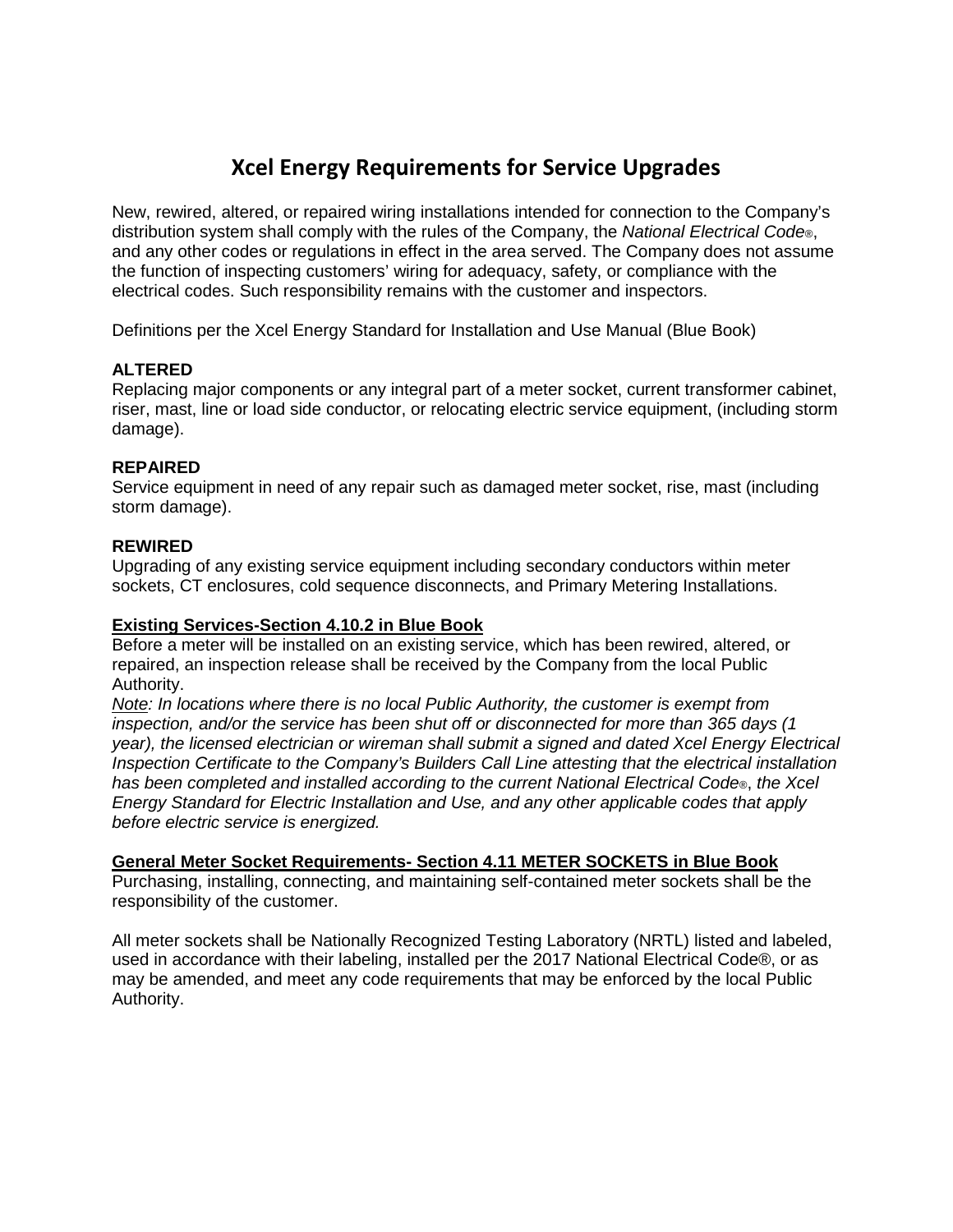# **Xcel Energy Requirements for Service Upgrades**

New, rewired, altered, or repaired wiring installations intended for connection to the Company's distribution system shall comply with the rules of the Company, the *National Electrical Code*®, and any other codes or regulations in effect in the area served. The Company does not assume the function of inspecting customers' wiring for adequacy, safety, or compliance with the electrical codes. Such responsibility remains with the customer and inspectors.

Definitions per the Xcel Energy Standard for Installation and Use Manual (Blue Book)

## **ALTERED**

Replacing major components or any integral part of a meter socket, current transformer cabinet, riser, mast, line or load side conductor, or relocating electric service equipment, (including storm damage).

## **REPAIRED**

Service equipment in need of any repair such as damaged meter socket, rise, mast (including storm damage).

#### **REWIRED**

Upgrading of any existing service equipment including secondary conductors within meter sockets, CT enclosures, cold sequence disconnects, and Primary Metering Installations.

#### **Existing Services-Section 4.10.2 in Blue Book**

Before a meter will be installed on an existing service, which has been rewired, altered, or repaired, an inspection release shall be received by the Company from the local Public Authority.

*Note: In locations where there is no local Public Authority, the customer is exempt from inspection, and/or the service has been shut off or disconnected for more than 365 days (1 year), the licensed electrician or wireman shall submit a signed and dated Xcel Energy Electrical Inspection Certificate to the Company's Builders Call Line attesting that the electrical installation has been completed and installed according to the current National Electrical Code*®, *the Xcel Energy Standard for Electric Installation and Use, and any other applicable codes that apply before electric service is energized.*

#### **General Meter Socket Requirements- Section 4.11 METER SOCKETS in Blue Book**

Purchasing, installing, connecting, and maintaining self-contained meter sockets shall be the responsibility of the customer.

All meter sockets shall be Nationally Recognized Testing Laboratory (NRTL) listed and labeled, used in accordance with their labeling, installed per the 2017 National Electrical Code®, or as may be amended, and meet any code requirements that may be enforced by the local Public Authority.